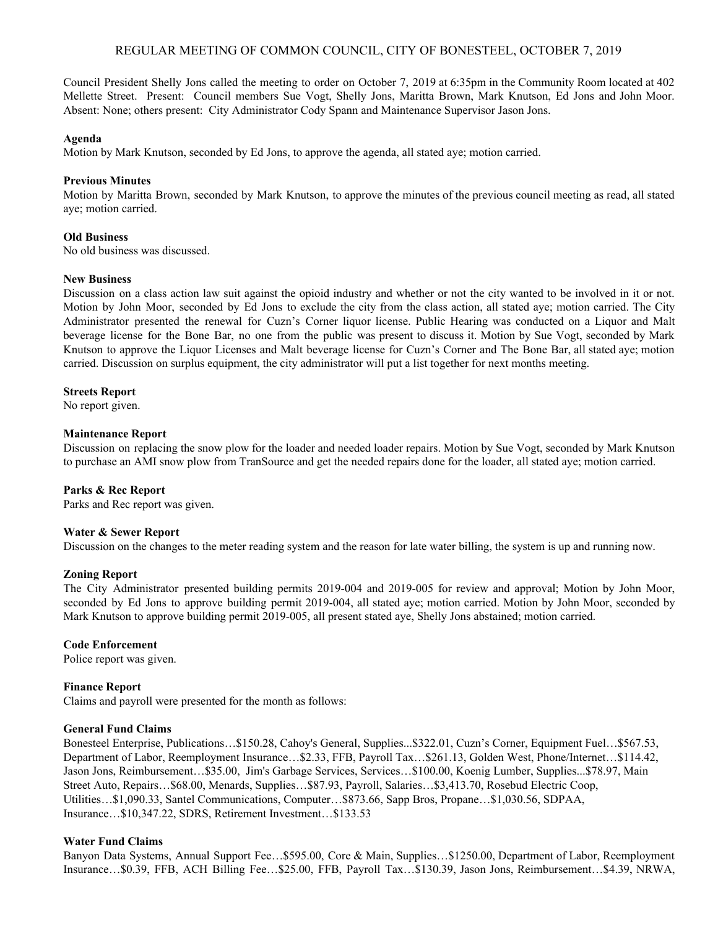# REGULAR MEETING OF COMMON COUNCIL, CITY OF BONESTEEL, OCTOBER 7, 2019

Council President Shelly Jons called the meeting to order on October 7, 2019 at 6:35pm in the Community Room located at 402 Mellette Street. Present: Council members Sue Vogt, Shelly Jons, Maritta Brown, Mark Knutson, Ed Jons and John Moor. Absent: None; others present: City Administrator Cody Spann and Maintenance Supervisor Jason Jons.

#### **Agenda**

Motion by Mark Knutson, seconded by Ed Jons, to approve the agenda, all stated aye; motion carried.

### **Previous Minutes**

Motion by Maritta Brown, seconded by Mark Knutson, to approve the minutes of the previous council meeting as read, all stated aye; motion carried.

### **Old Business**

No old business was discussed.

### **New Business**

Discussion on a class action law suit against the opioid industry and whether or not the city wanted to be involved in it or not. Motion by John Moor, seconded by Ed Jons to exclude the city from the class action, all stated aye; motion carried. The City Administrator presented the renewal for Cuzn's Corner liquor license. Public Hearing was conducted on a Liquor and Malt beverage license for the Bone Bar, no one from the public was present to discuss it. Motion by Sue Vogt, seconded by Mark Knutson to approve the Liquor Licenses and Malt beverage license for Cuzn's Corner and The Bone Bar, all stated aye; motion carried. Discussion on surplus equipment, the city administrator will put a list together for next months meeting.

### **Streets Report**

No report given.

#### **Maintenance Report**

Discussion on replacing the snow plow for the loader and needed loader repairs. Motion by Sue Vogt, seconded by Mark Knutson to purchase an AMI snow plow from TranSource and get the needed repairs done for the loader, all stated aye; motion carried.

## **Parks & Rec Report**

Parks and Rec report was given.

#### **Water & Sewer Report**

Discussion on the changes to the meter reading system and the reason for late water billing, the system is up and running now.

#### **Zoning Report**

The City Administrator presented building permits 2019-004 and 2019-005 for review and approval; Motion by John Moor, seconded by Ed Jons to approve building permit 2019-004, all stated aye; motion carried. Motion by John Moor, seconded by Mark Knutson to approve building permit 2019-005, all present stated aye, Shelly Jons abstained; motion carried.

## **Code Enforcement**

Police report was given.

## **Finance Report**

Claims and payroll were presented for the month as follows:

## **General Fund Claims**

Bonesteel Enterprise, Publications…\$150.28, Cahoy's General, Supplies...\$322.01, Cuzn's Corner, Equipment Fuel…\$567.53, Department of Labor, Reemployment Insurance…\$2.33, FFB, Payroll Tax…\$261.13, Golden West, Phone/Internet…\$114.42, Jason Jons, Reimbursement…\$35.00, Jim's Garbage Services, Services…\$100.00, Koenig Lumber, Supplies...\$78.97, Main Street Auto, Repairs…\$68.00, Menards, Supplies…\$87.93, Payroll, Salaries…\$3,413.70, Rosebud Electric Coop, Utilities…\$1,090.33, Santel Communications, Computer…\$873.66, Sapp Bros, Propane…\$1,030.56, SDPAA, Insurance…\$10,347.22, SDRS, Retirement Investment…\$133.53

## **Water Fund Claims**

Banyon Data Systems, Annual Support Fee…\$595.00, Core & Main, Supplies…\$1250.00, Department of Labor, Reemployment Insurance…\$0.39, FFB, ACH Billing Fee…\$25.00, FFB, Payroll Tax…\$130.39, Jason Jons, Reimbursement…\$4.39, NRWA,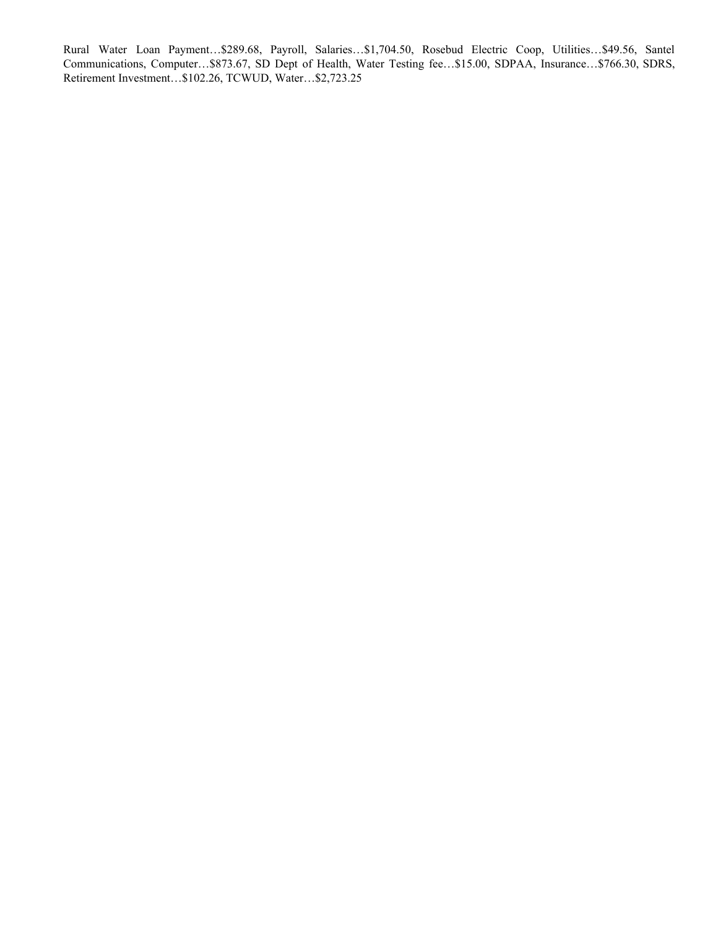Rural Water Loan Payment…\$289.68, Payroll, Salaries…\$1,704.50, Rosebud Electric Coop, Utilities…\$49.56, Santel Communications, Computer…\$873.67, SD Dept of Health, Water Testing fee…\$15.00, SDPAA, Insurance…\$766.30, SDRS, Retirement Investment…\$102.26, TCWUD, Water…\$2,723.25